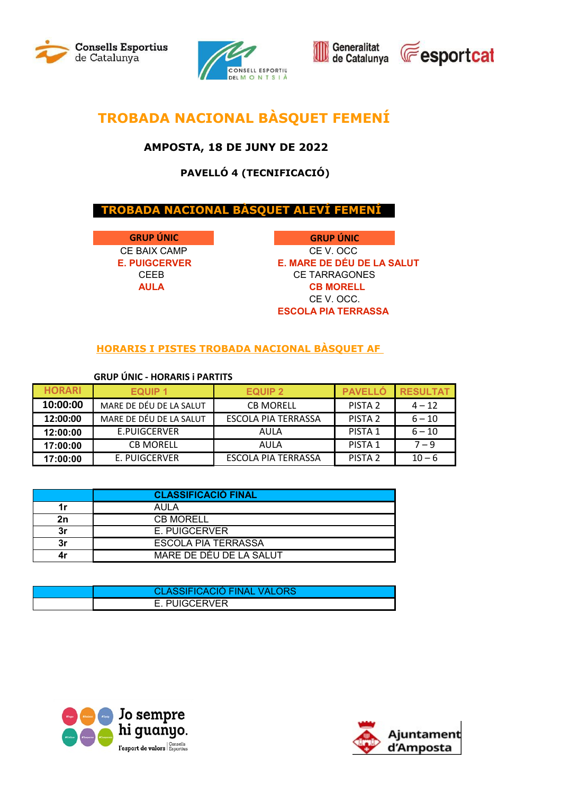







# **TROBADA NACIONAL BÀSQUET FEMENÍ**

### **AMPOSTA, 18 DE JUNY DE 2022**

## **PAVELLÓ 4 (TECNIFICACIÓ)**

### **TROBADA NACIONAL BÀSQUET ALEVÍ FEMENÍ**

**GRUP ÚNIC** 

 **GRUP ÚNIC** CE BAIX CAMP CE V. OCC **E. PUIGCERVER E. MARE DE DÉU DE LA SALUT**  CEEB CE TARRAGONES  **AULA CB MORELL** CE V. OCC.  **ESCOLA PIA TERRASSA**

#### **HORARIS I PISTES TROBADA NACIONAL BÀSQUET AF**

#### **GRUP ÚNIC - HORARIS i PARTITS**

| <b>HORARI</b> | <b>EQUIP 1</b>          | <b>EQUIP 2</b>      | <b>PAVELLO</b>     | <b>RESULTAT</b> |
|---------------|-------------------------|---------------------|--------------------|-----------------|
| 10:00:00      | MARE DE DÉU DE LA SALUT | <b>CB MORELL</b>    | PISTA <sub>2</sub> | $4 - 12$        |
| 12:00:00      | MARE DE DÉU DE LA SALUT | ESCOLA PIA TERRASSA | PISTA <sub>2</sub> | $6 - 10$        |
| 12:00:00      | E.PUIGCERVER            | AULA                | <b>PISTA 1</b>     | $6 - 10$        |
| 17:00:00      | <b>CB MORELL</b>        | AULA                | PISTA 1            | $7 - 9$         |
| 17:00:00      | E. PUIGCERVER           | ESCOLA PIA TERRASSA | PISTA <sub>2</sub> | $10 - 6$        |

|    | <b>CLASSIFICACIÓ FINAL</b> |
|----|----------------------------|
| 1r | AULA                       |
| 2n | <b>CB MORELL</b>           |
| 3r | E. PUIGCERVER              |
| 3r | <b>ESCOLA PIA TERRASSA</b> |
| 4r | MARE DE DÉU DE LA SALUT    |

| <b>CLASSIFICACIÓ FINAL VALORS</b> |
|-----------------------------------|
| E. PUIGCERVER                     |